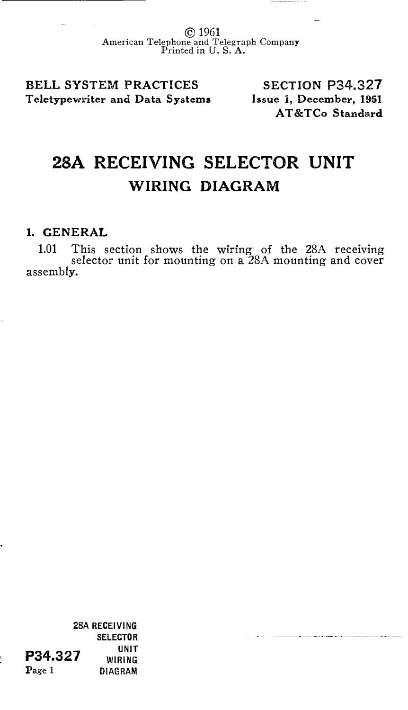© 1961 American Telephone and Telegraph Company Printed in U.S. A.

BELL SYSTEM PRACTICES Teletypewriter and Data Systems

SECTION P34.327 Issue 1, December, 1961 AT&TCo Standard

## 28A RECEIVING SELECTOR UNIT WIRING DIAGRAM

## 1. GENERAL

1.01 This section shows the wiring of the 28A receiving selector unit for mounting on a 28A mounting and cover assembly.

28A RECEIVING SELECTOR UNIT WIRING DIAGRAM P34.327 Page 1